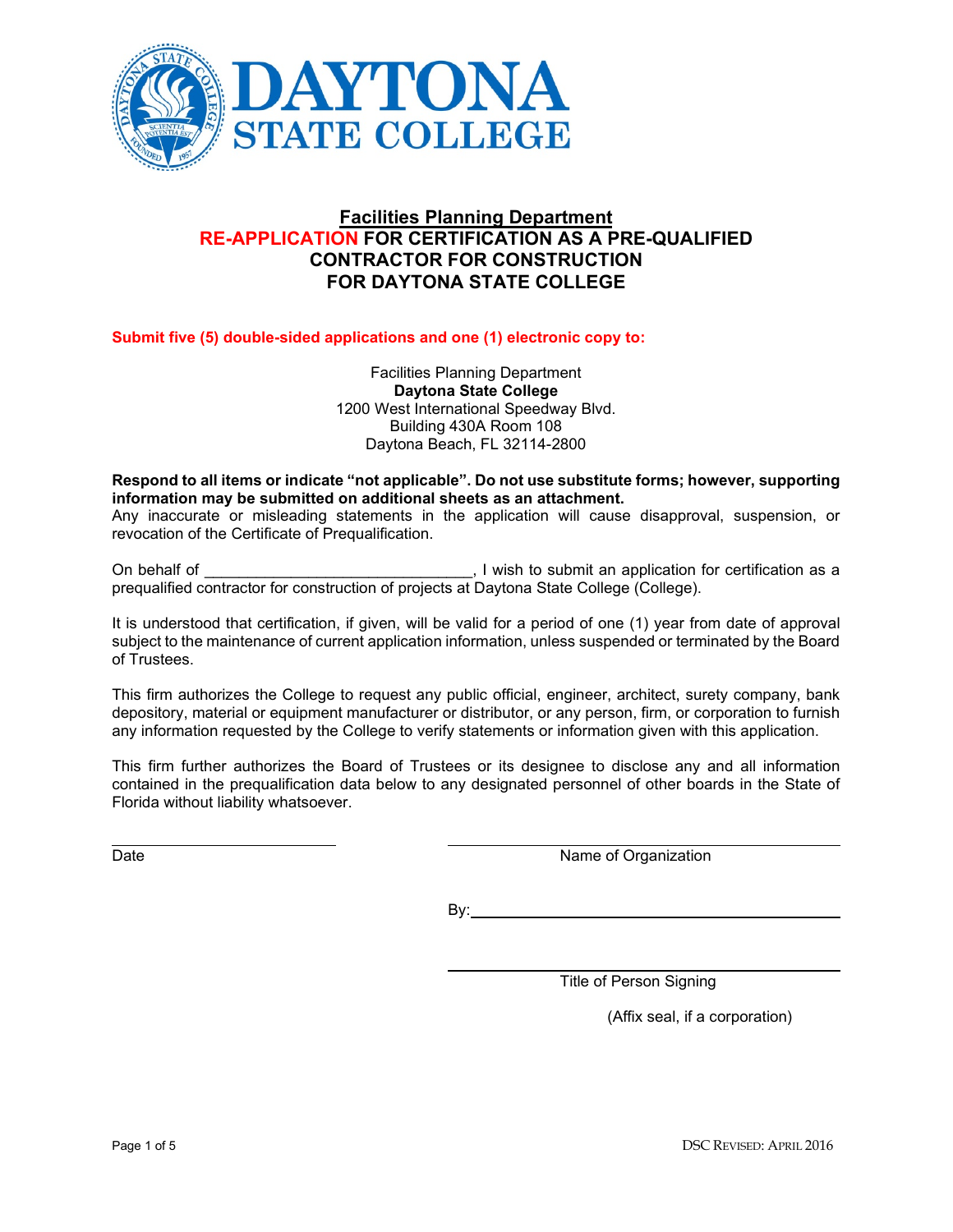

# **Facilities Planning Department RE-APPLICATION FOR CERTIFICATION AS A PRE-QUALIFIED CONTRACTOR FOR CONSTRUCTION FOR DAYTONA STATE COLLEGE**

**Submit five (5) double-sided applications and one (1) electronic copy to:**

Facilities Planning Department **Daytona State College** 1200 West International Speedway Blvd. Building 430A Room 108 Daytona Beach, FL 32114-2800

### **Respond to all items or indicate "not applicable". Do not use substitute forms; however, supporting information may be submitted on additional sheets as an attachment.**

Any inaccurate or misleading statements in the application will cause disapproval, suspension, or revocation of the Certificate of Prequalification.

On behalf of \_\_\_\_\_\_\_\_\_\_\_\_\_\_\_\_\_\_\_\_\_\_\_\_\_\_\_\_\_\_\_, I wish to submit an application for certification as a prequalified contractor for construction of projects at Daytona State College (College).

It is understood that certification, if given, will be valid for a period of one (1) year from date of approval subject to the maintenance of current application information, unless suspended or terminated by the Board of Trustees.

This firm authorizes the College to request any public official, engineer, architect, surety company, bank depository, material or equipment manufacturer or distributor, or any person, firm, or corporation to furnish any information requested by the College to verify statements or information given with this application.

This firm further authorizes the Board of Trustees or its designee to disclose any and all information contained in the prequalification data below to any designated personnel of other boards in the State of Florida without liability whatsoever.

Date Name of Organization

By:

Title of Person Signing

(Affix seal, if a corporation)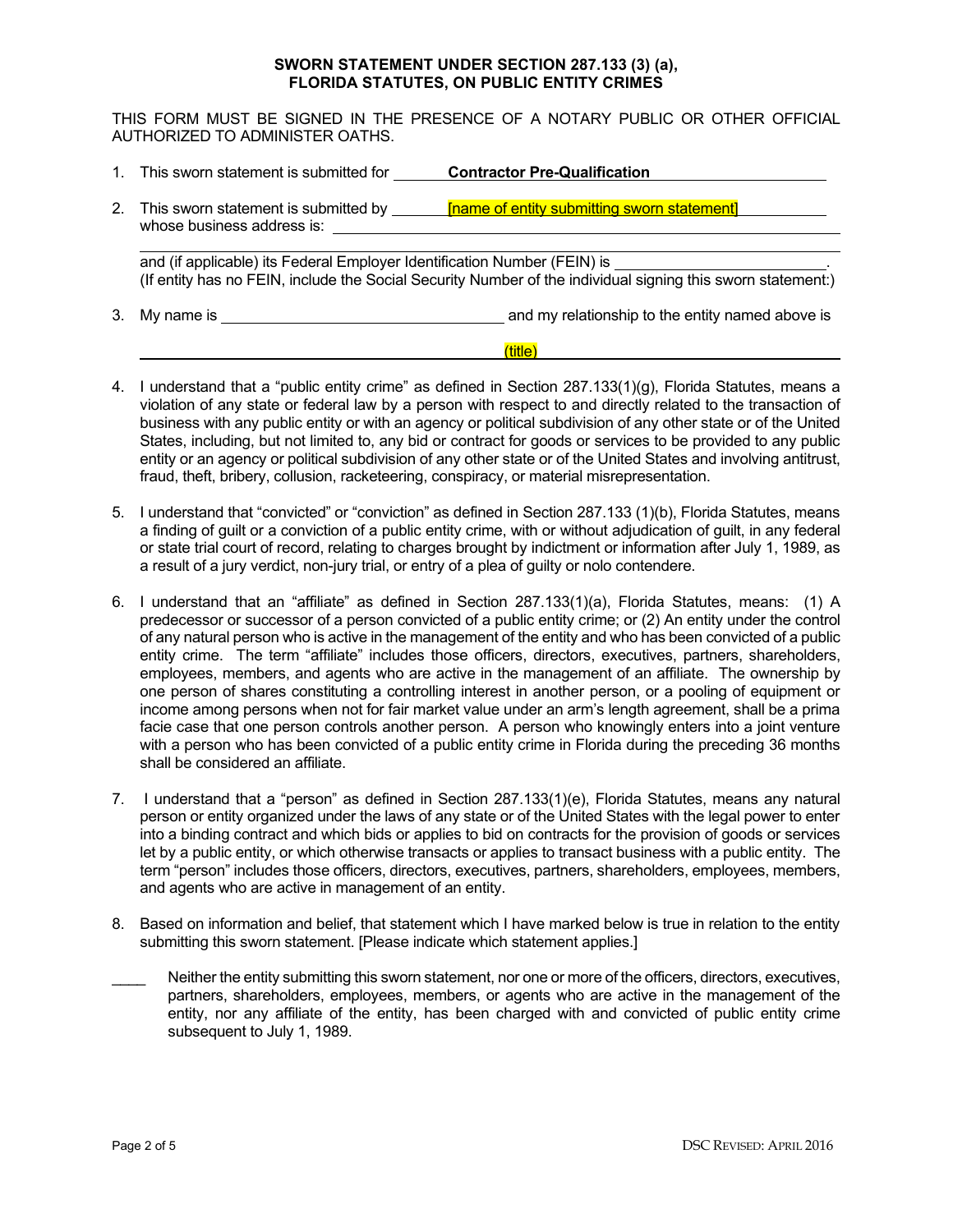#### **SWORN STATEMENT UNDER SECTION 287.133 (3) (a), FLORIDA STATUTES, ON PUBLIC ENTITY CRIMES**

THIS FORM MUST BE SIGNED IN THE PRESENCE OF A NOTARY PUBLIC OR OTHER OFFICIAL AUTHORIZED TO ADMINISTER OATHS.

- 1. This sworn statement is submitted for **Contractor Pre-Qualification**
- 2. This sworn statement is submitted by **[name of entity submitting sworn statement]** whose business address is:

and (if applicable) its Federal Employer Identification Number (FEIN) is (If entity has no FEIN, include the Social Security Number of the individual signing this sworn statement:)

3. My name is and my relationship to the entity named above is

### (title)

- 4. I understand that a "public entity crime" as defined in Section 287.133(1)(g), Florida Statutes, means a violation of any state or federal law by a person with respect to and directly related to the transaction of business with any public entity or with an agency or political subdivision of any other state or of the United States, including, but not limited to, any bid or contract for goods or services to be provided to any public entity or an agency or political subdivision of any other state or of the United States and involving antitrust, fraud, theft, bribery, collusion, racketeering, conspiracy, or material misrepresentation.
- 5. I understand that "convicted" or "conviction" as defined in Section 287.133 (1)(b), Florida Statutes, means a finding of guilt or a conviction of a public entity crime, with or without adjudication of guilt, in any federal or state trial court of record, relating to charges brought by indictment or information after July 1, 1989, as a result of a jury verdict, non-jury trial, or entry of a plea of guilty or nolo contendere.
- 6. I understand that an "affiliate" as defined in Section 287.133(1)(a), Florida Statutes, means: (1) A predecessor or successor of a person convicted of a public entity crime; or (2) An entity under the control of any natural person who is active in the management of the entity and who has been convicted of a public entity crime. The term "affiliate" includes those officers, directors, executives, partners, shareholders, employees, members, and agents who are active in the management of an affiliate. The ownership by one person of shares constituting a controlling interest in another person, or a pooling of equipment or income among persons when not for fair market value under an arm's length agreement, shall be a prima facie case that one person controls another person. A person who knowingly enters into a joint venture with a person who has been convicted of a public entity crime in Florida during the preceding 36 months shall be considered an affiliate.
- 7. I understand that a "person" as defined in Section 287.133(1)(e), Florida Statutes, means any natural person or entity organized under the laws of any state or of the United States with the legal power to enter into a binding contract and which bids or applies to bid on contracts for the provision of goods or services let by a public entity, or which otherwise transacts or applies to transact business with a public entity. The term "person" includes those officers, directors, executives, partners, shareholders, employees, members, and agents who are active in management of an entity.
- 8. Based on information and belief, that statement which I have marked below is true in relation to the entity submitting this sworn statement. [Please indicate which statement applies.]
- Neither the entity submitting this sworn statement, nor one or more of the officers, directors, executives, partners, shareholders, employees, members, or agents who are active in the management of the entity, nor any affiliate of the entity, has been charged with and convicted of public entity crime subsequent to July 1, 1989.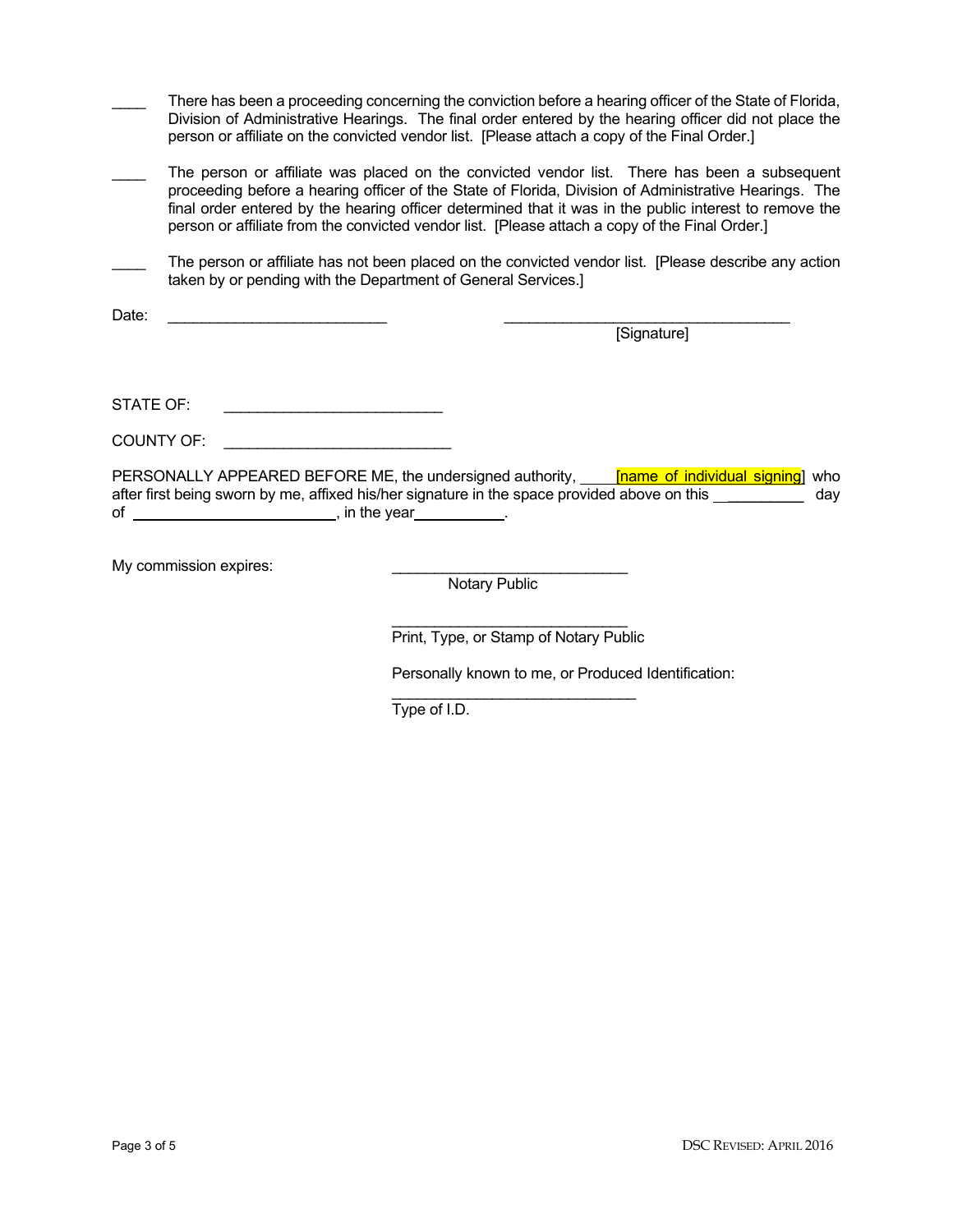| There has been a proceeding concerning the conviction before a hearing officer of the State of Florida, |
|---------------------------------------------------------------------------------------------------------|
| Division of Administrative Hearings. The final order entered by the hearing officer did not place the   |
| person or affiliate on the convicted vendor list. [Please attach a copy of the Final Order.]            |

- The person or affiliate was placed on the convicted vendor list. There has been a subsequent proceeding before a hearing officer of the State of Florida, Division of Administrative Hearings. The final order entered by the hearing officer determined that it was in the public interest to remove the person or affiliate from the convicted vendor list. [Please attach a copy of the Final Order.]
- The person or affiliate has not been placed on the convicted vendor list. [Please describe any action taken by or pending with the Department of General Services.]

Date: \_\_\_\_\_\_\_\_\_\_\_\_\_\_\_\_\_\_\_\_\_\_\_\_\_\_ \_\_\_\_\_\_\_\_\_\_\_\_\_\_\_\_\_\_\_\_\_\_\_\_\_\_\_\_\_\_\_\_\_\_

[Signature]

STATE OF: \_\_\_\_\_\_\_\_\_\_\_\_\_\_\_\_\_\_\_\_\_\_\_\_\_\_

COUNTY OF:

PERSONALLY APPEARED BEFORE ME, the undersigned authority, **[name of individual signing]** who after first being sworn by me, affixed his/her signature in the space provided above on this \_\_\_\_\_\_\_\_\_\_\_\_\_ day of <u>example a set of</u> the year ...

My commission expires:

**Notary Public** 

\_\_\_\_\_\_\_\_\_\_\_\_\_\_\_\_\_\_\_\_\_\_\_\_\_\_\_\_ Print, Type, or Stamp of Notary Public

Personally known to me, or Produced Identification:

\_\_\_\_\_\_\_\_\_\_\_\_\_\_\_\_\_\_\_\_\_\_\_\_\_\_\_\_\_ Type of I.D.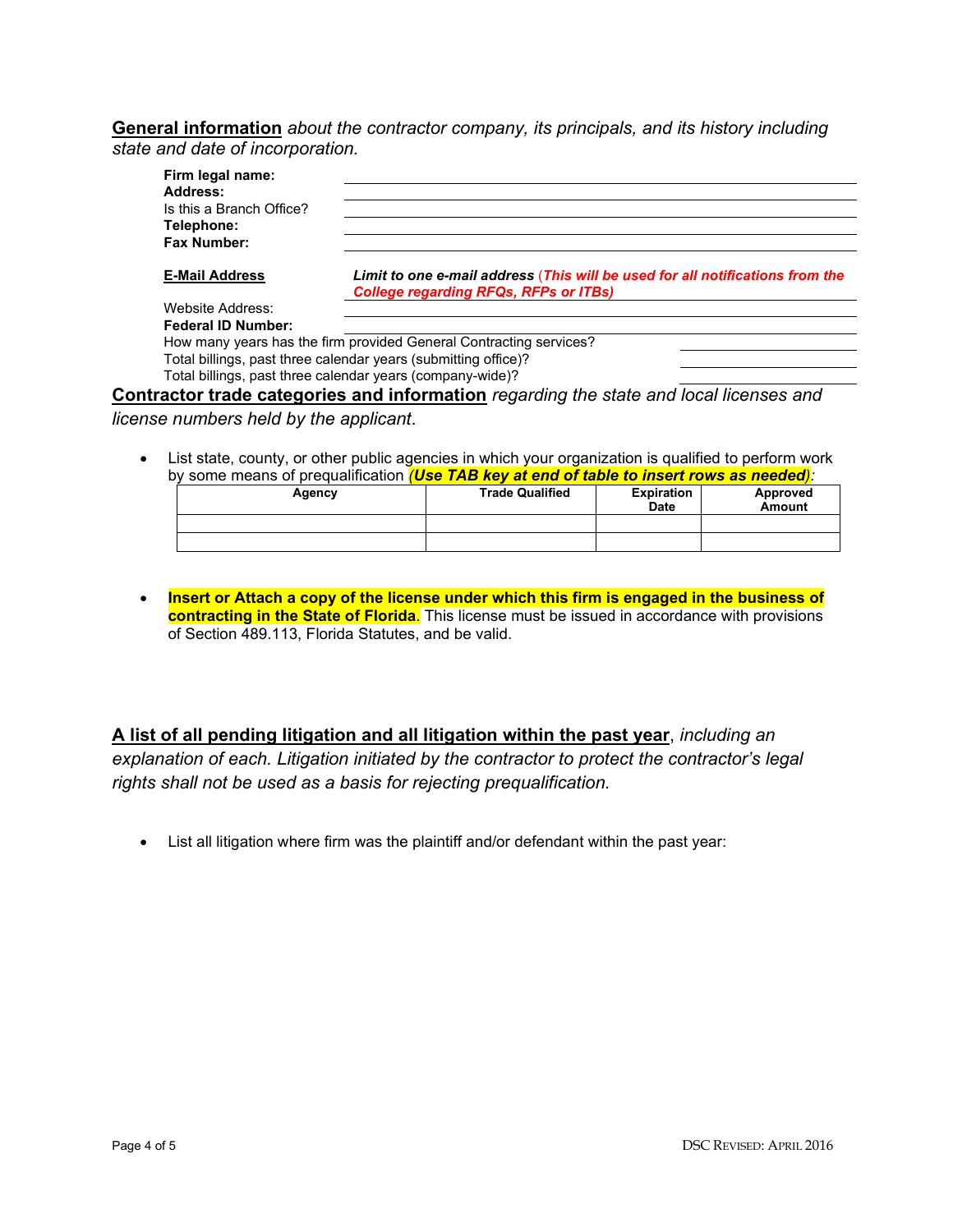## **General information** *about the contractor company, its principals, and its history including state and date of incorporation.*

| Firm legal name:          |                                                                                                                               |  |
|---------------------------|-------------------------------------------------------------------------------------------------------------------------------|--|
| Address:                  |                                                                                                                               |  |
| Is this a Branch Office?  |                                                                                                                               |  |
| Telephone:                |                                                                                                                               |  |
| Fax Number:               |                                                                                                                               |  |
| <b>E-Mail Address</b>     | Limit to one e-mail address (This will be used for all notifications from the<br><b>College regarding RFQs, RFPs or ITBs)</b> |  |
| Website Address:          |                                                                                                                               |  |
| <b>Federal ID Number:</b> |                                                                                                                               |  |
|                           | How many years has the firm provided General Contracting services?                                                            |  |
|                           | Total billings, past three calendar years (submitting office)?                                                                |  |
|                           | Total billings, past three calendar years (company-wide)?                                                                     |  |
|                           | Contractor trade categories and information regarding the state and local licenses and                                        |  |
|                           |                                                                                                                               |  |

### *license numbers held by the applicant*.

• List state, county, or other public agencies in which your organization is qualified to perform work by some means of prequalification *(Use TAB key at end of table to insert rows as needed):*

|        |                        |                   | <u>ul viid vi labiu lu iilvul liviid av iivudud.</u> |
|--------|------------------------|-------------------|------------------------------------------------------|
| Agency | <b>Trade Qualified</b> | <b>Expiration</b> | Approved                                             |
|        |                        | <b>Date</b>       | Amount                                               |
|        |                        |                   |                                                      |
|        |                        |                   |                                                      |

• **Insert or Attach a copy of the license under which this firm is engaged in the business of contracting in the State of Florida**. This license must be issued in accordance with provisions of Section 489.113, Florida Statutes, and be valid.

**A list of all pending litigation and all litigation within the past year**, *including an explanation of each. Litigation initiated by the contractor to protect the contractor's legal rights shall not be used as a basis for rejecting prequalification.* 

• List all litigation where firm was the plaintiff and/or defendant within the past year: